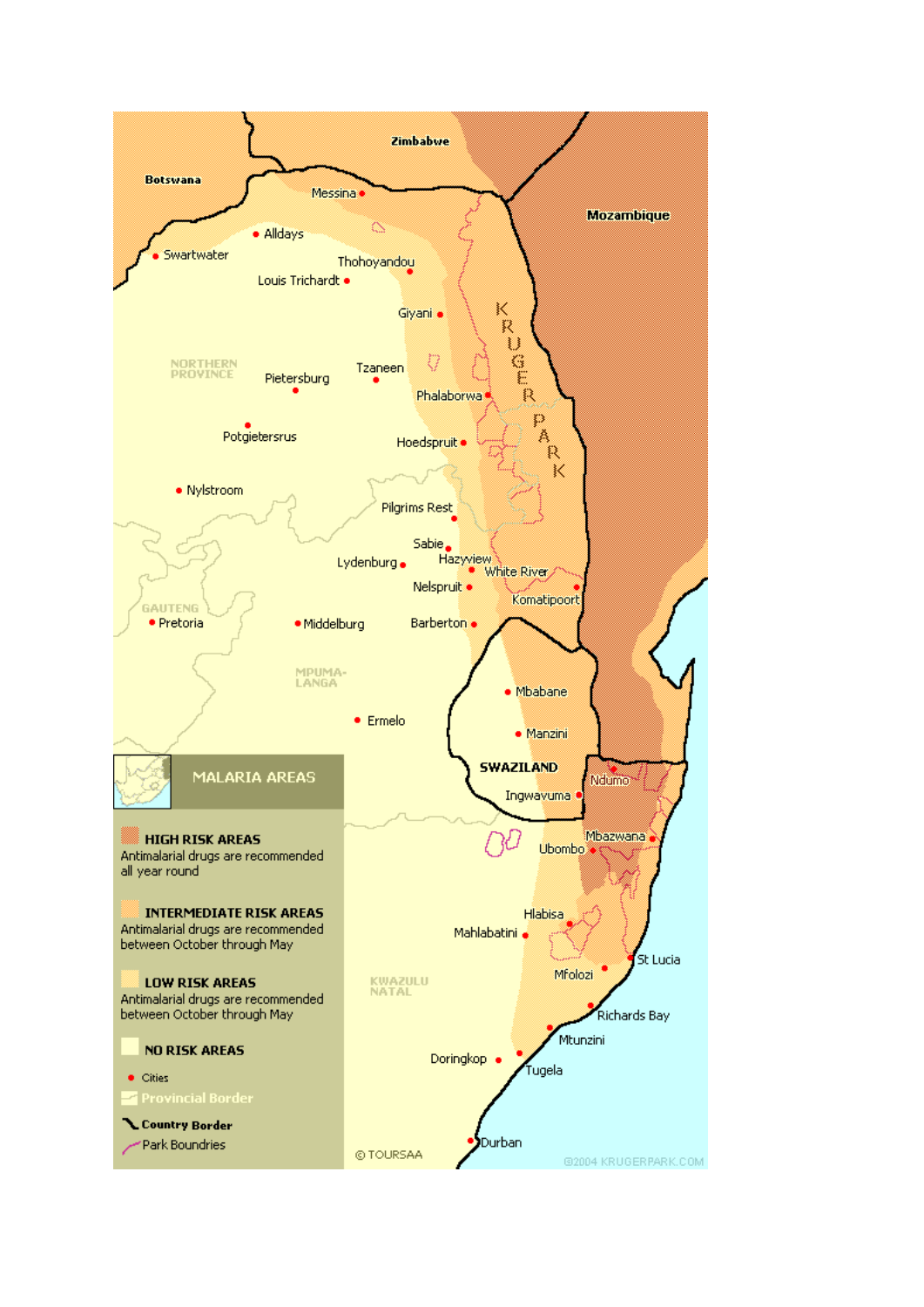